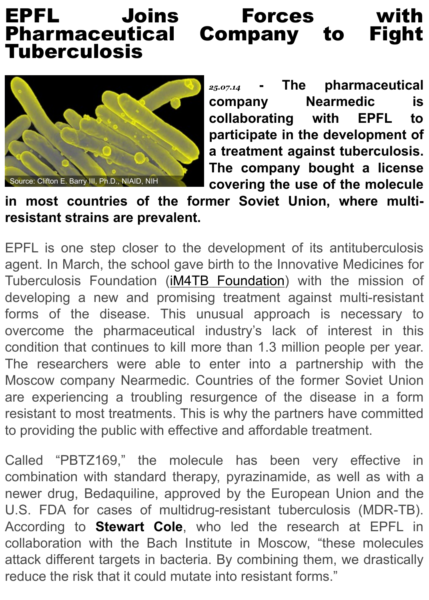

**collaborating with EP** participate in the develop a treatment against tuber The company bought a covering the use of the m

in most countries of the former Soviet Union, where **resistant strains are prevalent.**

EPFL is one step closer to the development of its antitube agent. In March, the school gave birth to the Innovative Medio Tuberculosis Foundation (*IM4TB Foundation*) with the mis developing a new and promising treatment against multi-r forms of the disease. This unusual approach is neces overcome the pharmaceutical industry's lack of interest condition that continues to kill more than 1.3 million people p The researchers were able to enter into a partnership w Moscow company Nearmedic. Countries of the former Sovie are experiencing a troubli[ng resurgence of t](http://im4tb.org/)he disease in resistant to most treatments. This is why the partners have co to providing the public with effective and affordable treatment.

Called "PBTZ169," the molecule has been very effed combination with standard therapy, pyrazinamide, as well as newer drug, Bedaquiline, approved by the European Union U.S. FDA for cases of multidrug-resistant tuberculosis (MI According to **Stewart Cole**, who led the research at E collaboration with the Bach Institute in Moscow, "these mo attack different targets in bacteria. By combining them, we dr reduce the risk that it could mutate into resistant forms."